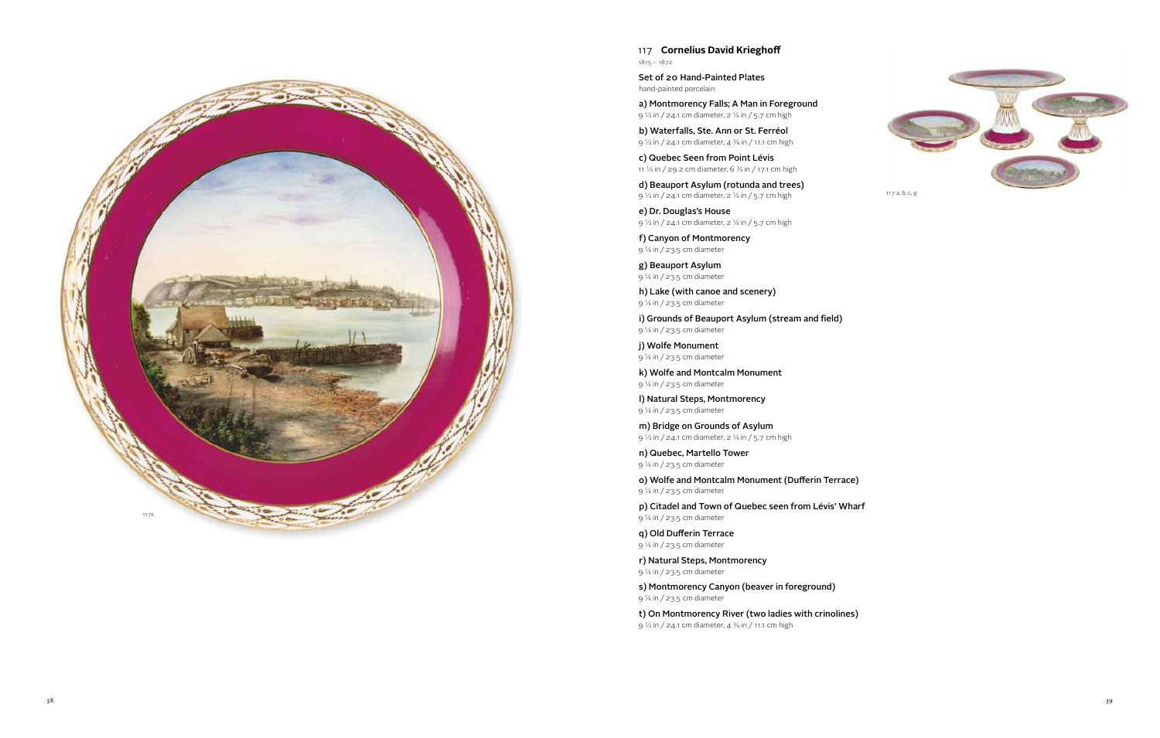117 **Cornelius David Krieghoff** 1815 – 1872

a) Montmorency Falls; A Man in Foreground 9  $\frac{1}{2}$  in / 24.1 cm diameter, 2  $\frac{1}{4}$  in / 5.7 cm high

Set of 20 Hand-Painted Plates hand-painted porcelain

c) Quebec Seen from Point Lévis 11  $\frac{1}{2}$  in / 29.2 cm diameter, 6  $\frac{3}{4}$  in / 17.1 cm high

d) Beauport Asylum (rotunda and trees) 9  $\frac{1}{2}$  in / 24.1 cm diameter, 2  $\frac{1}{4}$  in / 5.7 cm high

e) Dr. Douglas's House 9 1/2 in / 24.1 cm diameter, 2 1/4 in / 5.7 cm high

b) Waterfalls, Ste. Ann or St. Ferréol 9 1/2 in / 24.1 cm diameter, 4 3/8 in / 11.1 cm high

m) Bridge on Grounds of Asylum 9  $\frac{1}{2}$  in / 24.1 cm diameter, 2  $\frac{1}{4}$  in / 5.7 cm high

f) Canyon of Montmorency 9 1/4 in / 23.5 cm diameter

g) Beauport Asylum 9 1/4 in / 23.5 cm diameter

h) Lake (with canoe and scenery) 9 1/4 in / 23.5 cm diameter

i) Grounds of Beauport Asylum (stream and field) 9 1/4 in / 23.5 cm diameter

j) Wolfe Monument 9 1/4 in / 23.5 cm diameter

k) Wolfe and Montcalm Monument 9 1/4 in / 23.5 cm diameter

l) Natural Steps, Montmorency 9 1/4 in / 23.5 cm diameter

n) Quebec, Martello Tower 9 1/4 in / 23.5 cm diameter

o) Wolfe and Montcalm Monument (Dufferin Terrace) 9 1/4 in / 23.5 cm diameter

p) Citadel and Town of Quebec seen from Lévis' Wharf 9 1/4 in / 23.5 cm diameter

q) Old Dufferin Terrace 9 1/4 in / 23.5 cm diameter

r) Natural Steps, Montmorency 9 1/4 in / 23.5 cm diameter

s) Montmorency Canyon (beaver in foreground) 9 1/4 in / 23.5 cm diameter

t) On Montmorency River (two ladies with crinolines) 9 1/2 in / 24.1 cm diameter, 4 3/8 in / 11.1 cm high



117 a, b, c, g